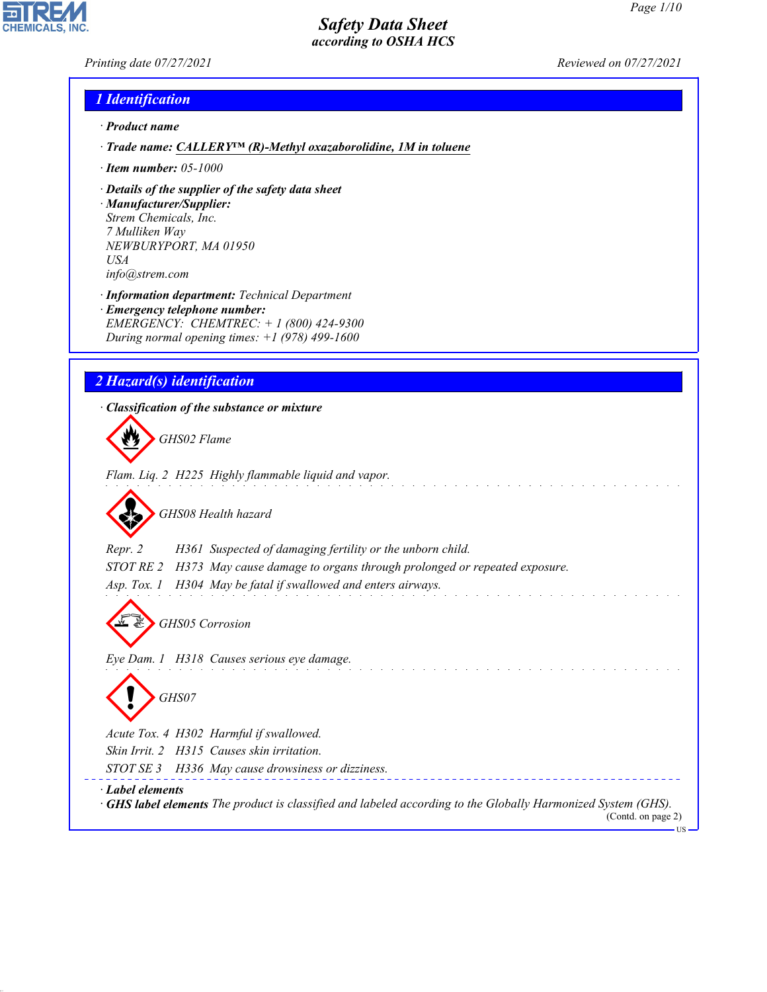*Printing date 07/27/2021 Reviewed on 07/27/2021*

**CHEMICALS, INC** 

## *1 Identification*

- *· Product name*
- *· Trade name: CALLERY™ (R)-Methyl oxazaborolidine, 1M in toluene*
- *· Item number: 05-1000*
- *· Details of the supplier of the safety data sheet*
- *· Manufacturer/Supplier: Strem Chemicals, Inc. 7 Mulliken Way NEWBURYPORT, MA 01950 USA info@strem.com*
- *· Information department: Technical Department*
- *· Emergency telephone number: EMERGENCY: CHEMTREC: + 1 (800) 424-9300 During normal opening times: +1 (978) 499-1600*

## *2 Hazard(s) identification*

*· Classification of the substance or mixture*

d~*GHS02 Flame Flam. Liq. 2 H225 Highly flammable liquid and vapor.*

d~*GHS08 Health hazard*

*Repr. 2 H361 Suspected of damaging fertility or the unborn child.*

*STOT RE 2 H373 May cause damage to organs through prolonged or repeated exposure.*

*Asp. Tox. 1 H304 May be fatal if swallowed and enters airways.*

d~*GHS05 Corrosion*

*Eye Dam. 1 H318 Causes serious eye damage.*

d~*GHS07*

*Acute Tox. 4 H302 Harmful if swallowed.*

*Skin Irrit. 2 H315 Causes skin irritation.*

*STOT SE 3 H336 May cause drowsiness or dizziness.*

*· Label elements*

44.1.1

*· GHS label elements The product is classified and labeled according to the Globally Harmonized System (GHS).* (Contd. on page 2)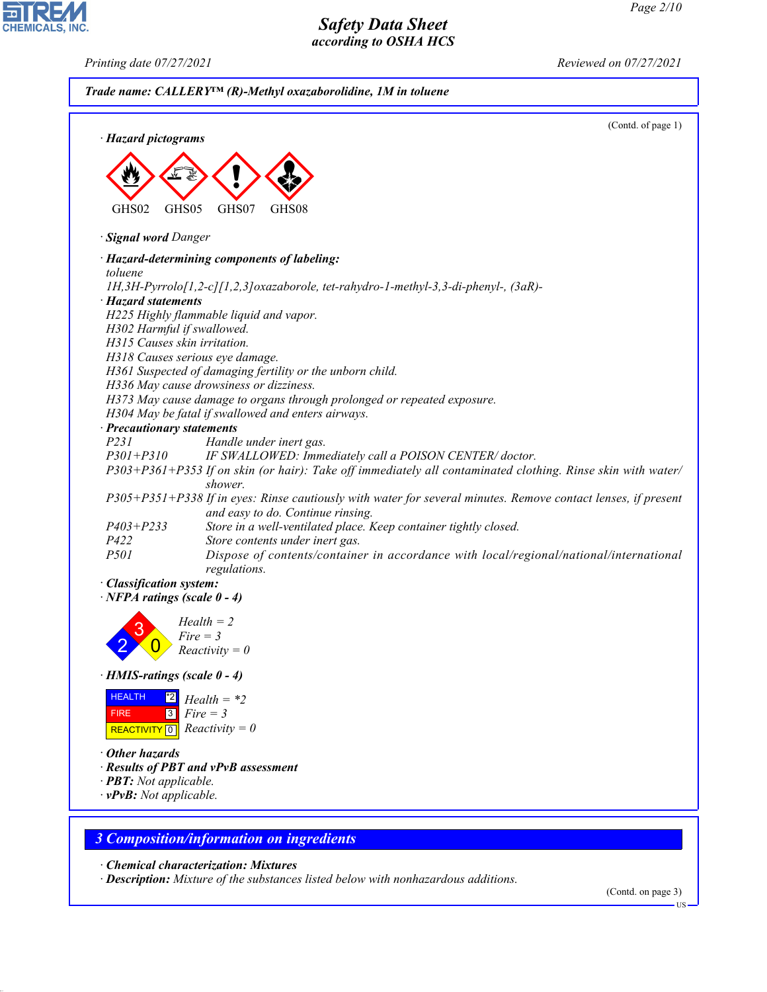*Printing date 07/27/2021 Reviewed on 07/27/2021*

CHEMICALS, INC.

44.1.1

|                                     | Trade name: CALLERY <sup>IM</sup> (R)-Methyl oxazaborolidine, 1M in toluene                                                                                           |  |  |
|-------------------------------------|-----------------------------------------------------------------------------------------------------------------------------------------------------------------------|--|--|
| · Hazard pictograms                 | (Contd. of page 1)                                                                                                                                                    |  |  |
|                                     |                                                                                                                                                                       |  |  |
|                                     |                                                                                                                                                                       |  |  |
|                                     |                                                                                                                                                                       |  |  |
| GHS02<br>GHS05                      | GHS07<br>GHS08                                                                                                                                                        |  |  |
| · Signal word Danger                |                                                                                                                                                                       |  |  |
|                                     | · Hazard-determining components of labeling:                                                                                                                          |  |  |
| toluene                             |                                                                                                                                                                       |  |  |
| · Hazard statements                 | 1H,3H-Pyrrolo[1,2-c][1,2,3]oxazaborole, tet-rahydro-1-methyl-3,3-di-phenyl-, (3aR)-                                                                                   |  |  |
|                                     | H225 Highly flammable liquid and vapor.                                                                                                                               |  |  |
| H302 Harmful if swallowed.          |                                                                                                                                                                       |  |  |
| H315 Causes skin irritation.        |                                                                                                                                                                       |  |  |
|                                     | H318 Causes serious eye damage.                                                                                                                                       |  |  |
|                                     | H361 Suspected of damaging fertility or the unborn child.                                                                                                             |  |  |
|                                     | H336 May cause drowsiness or dizziness.                                                                                                                               |  |  |
|                                     | H373 May cause damage to organs through prolonged or repeated exposure.                                                                                               |  |  |
|                                     | H304 May be fatal if swallowed and enters airways.                                                                                                                    |  |  |
| · Precautionary statements          |                                                                                                                                                                       |  |  |
| P231<br>$P301 + P310$               | Handle under inert gas.                                                                                                                                               |  |  |
|                                     | IF SWALLOWED: Immediately call a POISON CENTER/doctor.<br>P303+P361+P353 If on skin (or hair): Take off immediately all contaminated clothing. Rinse skin with water/ |  |  |
|                                     | shower.                                                                                                                                                               |  |  |
|                                     | P305+P351+P338 If in eyes: Rinse cautiously with water for several minutes. Remove contact lenses, if present                                                         |  |  |
|                                     | and easy to do. Continue rinsing.                                                                                                                                     |  |  |
| $P403 + P233$                       | Store in a well-ventilated place. Keep container tightly closed.                                                                                                      |  |  |
| P422                                | Store contents under inert gas.                                                                                                                                       |  |  |
| P501                                | Dispose of contents/container in accordance with local/regional/national/international                                                                                |  |  |
|                                     | regulations.                                                                                                                                                          |  |  |
| · Classification system:            |                                                                                                                                                                       |  |  |
| $\cdot$ NFPA ratings (scale 0 - 4)  |                                                                                                                                                                       |  |  |
|                                     | $Health = 2$                                                                                                                                                          |  |  |
| 3                                   | Fire = 3                                                                                                                                                              |  |  |
|                                     | $Reactivity = 0$                                                                                                                                                      |  |  |
|                                     |                                                                                                                                                                       |  |  |
| $\cdot$ HMIS-ratings (scale 0 - 4)  |                                                                                                                                                                       |  |  |
| <b>HEALTH</b><br>$^{\ast}2$         | $Health = *2$                                                                                                                                                         |  |  |
| $\overline{3}$<br><b>FIRE</b>       | $Fire = 3$                                                                                                                                                            |  |  |
| REACTIVITY <sup>0</sup>             | $Reactivity = 0$                                                                                                                                                      |  |  |
|                                     |                                                                                                                                                                       |  |  |
| $\cdot$ Other hazards               | · Results of PBT and vPvB assessment                                                                                                                                  |  |  |
| $\cdot$ <b>PBT:</b> Not applicable. |                                                                                                                                                                       |  |  |
| $\cdot$ vPvB: Not applicable.       |                                                                                                                                                                       |  |  |
|                                     |                                                                                                                                                                       |  |  |
|                                     |                                                                                                                                                                       |  |  |
|                                     | <b>3 Composition/information on ingredients</b>                                                                                                                       |  |  |
|                                     |                                                                                                                                                                       |  |  |
|                                     | $\cdot$ Chemical characterization: Mixtures<br>· Description: Mixture of the substances listed below with nonhazardous additions.                                     |  |  |
|                                     |                                                                                                                                                                       |  |  |

(Contd. on page 3)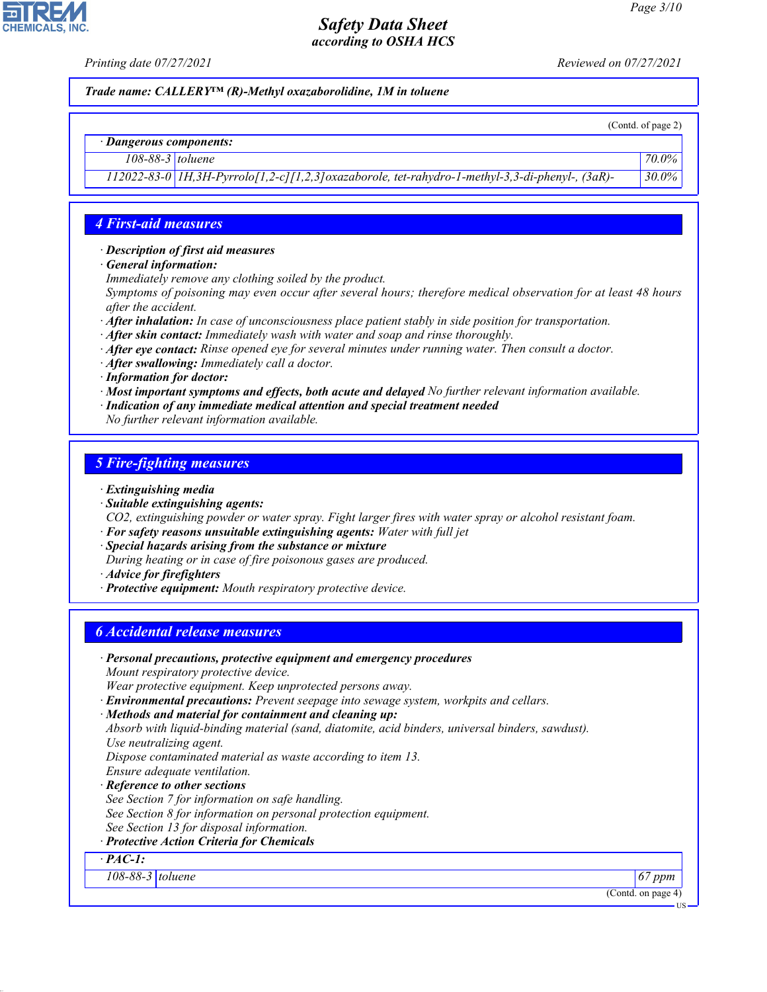**CHEMICALS, INC** 

*Printing date 07/27/2021 Reviewed on 07/27/2021*

*Trade name: CALLERY™ (R)-Methyl oxazaborolidine, 1M in toluene*

(Contd. of page 2)

US

#### *· Dangerous components:*

*108-88-3 toluene 70.0%*

*112022-83-0 1H,3H-Pyrrolo[1,2-c][1,2,3]oxazaborole, tet-rahydro-1-methyl-3,3-di-phenyl-, (3aR)- 30.0%*

#### *4 First-aid measures*

*· Description of first aid measures*

- *· General information:*
- *Immediately remove any clothing soiled by the product.*

*Symptoms of poisoning may even occur after several hours; therefore medical observation for at least 48 hours after the accident.*

- *· After inhalation: In case of unconsciousness place patient stably in side position for transportation.*
- *· After skin contact: Immediately wash with water and soap and rinse thoroughly.*
- *· After eye contact: Rinse opened eye for several minutes under running water. Then consult a doctor.*
- *· After swallowing: Immediately call a doctor.*
- *· Information for doctor:*
- *· Most important symptoms and effects, both acute and delayed No further relevant information available.*
- *· Indication of any immediate medical attention and special treatment needed*

*No further relevant information available.*

#### *5 Fire-fighting measures*

- *· Extinguishing media*
- *· Suitable extinguishing agents:*
- *CO2, extinguishing powder or water spray. Fight larger fires with water spray or alcohol resistant foam.*
- *· For safety reasons unsuitable extinguishing agents: Water with full jet*
- *· Special hazards arising from the substance or mixture*
- *During heating or in case of fire poisonous gases are produced.*

*· Advice for firefighters*

44.1.1

*· Protective equipment: Mouth respiratory protective device.*

#### *6 Accidental release measures*

| · Personal precautions, protective equipment and emergency procedures                            |                       |
|--------------------------------------------------------------------------------------------------|-----------------------|
| Mount respiratory protective device.                                                             |                       |
| Wear protective equipment. Keep unprotected persons away.                                        |                       |
| <b>Environmental precautions:</b> Prevent seepage into sewage system, workpits and cellars.      |                       |
| · Methods and material for containment and cleaning up:                                          |                       |
| Absorb with liquid-binding material (sand, diatomite, acid binders, universal binders, sawdust). |                       |
| Use neutralizing agent.                                                                          |                       |
| Dispose contaminated material as waste according to item 13.                                     |                       |
| Ensure adequate ventilation.                                                                     |                       |
| · Reference to other sections                                                                    |                       |
| See Section 7 for information on safe handling.                                                  |                       |
| See Section 8 for information on personal protection equipment.                                  |                       |
| See Section 13 for disposal information.                                                         |                       |
| · Protective Action Criteria for Chemicals                                                       |                       |
| $\cdot$ PAC-1:                                                                                   |                       |
| $108 - 88 - 3$ toluene                                                                           | $67$ ppm              |
|                                                                                                  | (Contd. on page $4$ ) |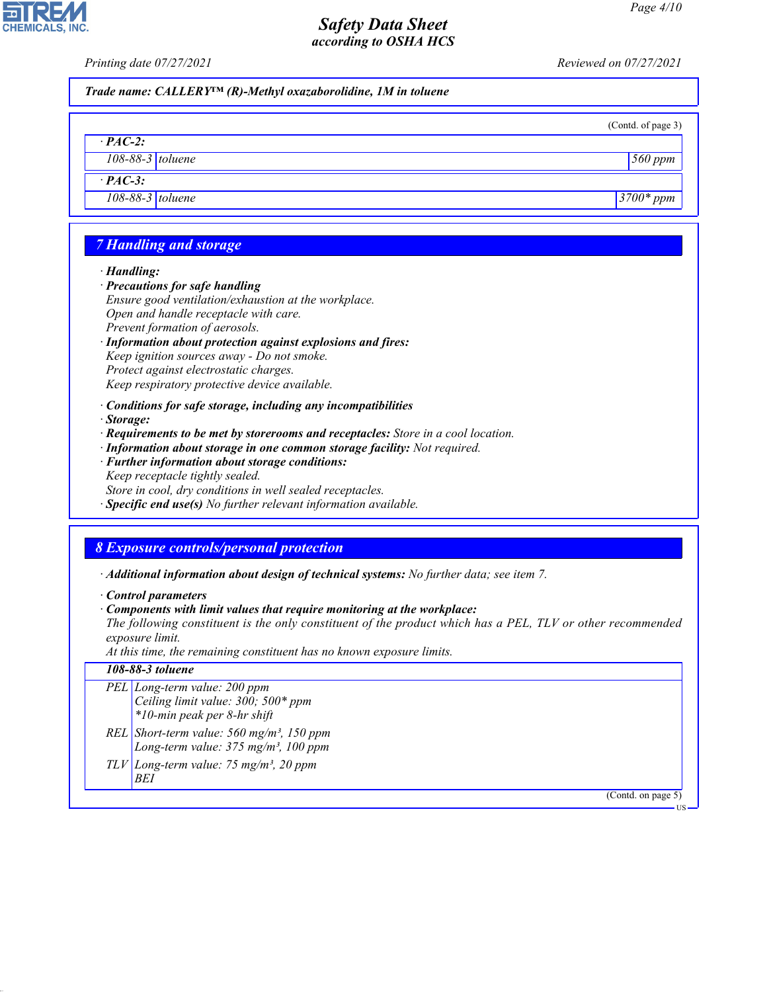*· PAC-2:*

**CHEMICALS, INC** 

*Printing date 07/27/2021 Reviewed on 07/27/2021*

|  | Trade name: CALLERY <sup>TM</sup> (R)-Methyl oxazaborolidine, 1M in toluene |
|--|-----------------------------------------------------------------------------|
|--|-----------------------------------------------------------------------------|

| (Contd. of page 3) |  |
|--------------------|--|
|                    |  |

*108-88-3 toluene 560 ppm*

US

# *· PAC-3: 108-88-3 toluene 3700\* ppm 7 Handling and storage · Handling:*

- *· Precautions for safe handling Ensure good ventilation/exhaustion at the workplace.*
- *Open and handle receptacle with care.*
- *Prevent formation of aerosols.*
- *· Information about protection against explosions and fires:*

*Keep ignition sources away - Do not smoke. Protect against electrostatic charges.*

- *Keep respiratory protective device available.*
- *· Conditions for safe storage, including any incompatibilities*
- *· Storage:*
- *· Requirements to be met by storerooms and receptacles: Store in a cool location.*
- *· Information about storage in one common storage facility: Not required.*
- *· Further information about storage conditions: Keep receptacle tightly sealed. Store in cool, dry conditions in well sealed receptacles.*
- *· Specific end use(s) No further relevant information available.*

# *8 Exposure controls/personal protection*

*· Additional information about design of technical systems: No further data; see item 7.*

*· Control parameters*

44.1.1

*· Components with limit values that require monitoring at the workplace:*

*The following constituent is the only constituent of the product which has a PEL, TLV or other recommended exposure limit.*

*At this time, the remaining constituent has no known exposure limits.*

| 108-88-3 toluene                                                                                            |
|-------------------------------------------------------------------------------------------------------------|
| PEL Long-term value: 200 ppm<br>Ceiling limit value: $300$ ; $500*$ ppm<br>*10-min peak per 8-hr shift      |
| REL Short-term value: $560$ mg/m <sup>3</sup> , 150 ppm<br>Long-term value: 375 mg/m <sup>3</sup> , 100 ppm |
| $TLV$ Long-term value: 75 mg/m <sup>3</sup> , 20 ppm<br>BEI                                                 |
| (Contd. on page 5)                                                                                          |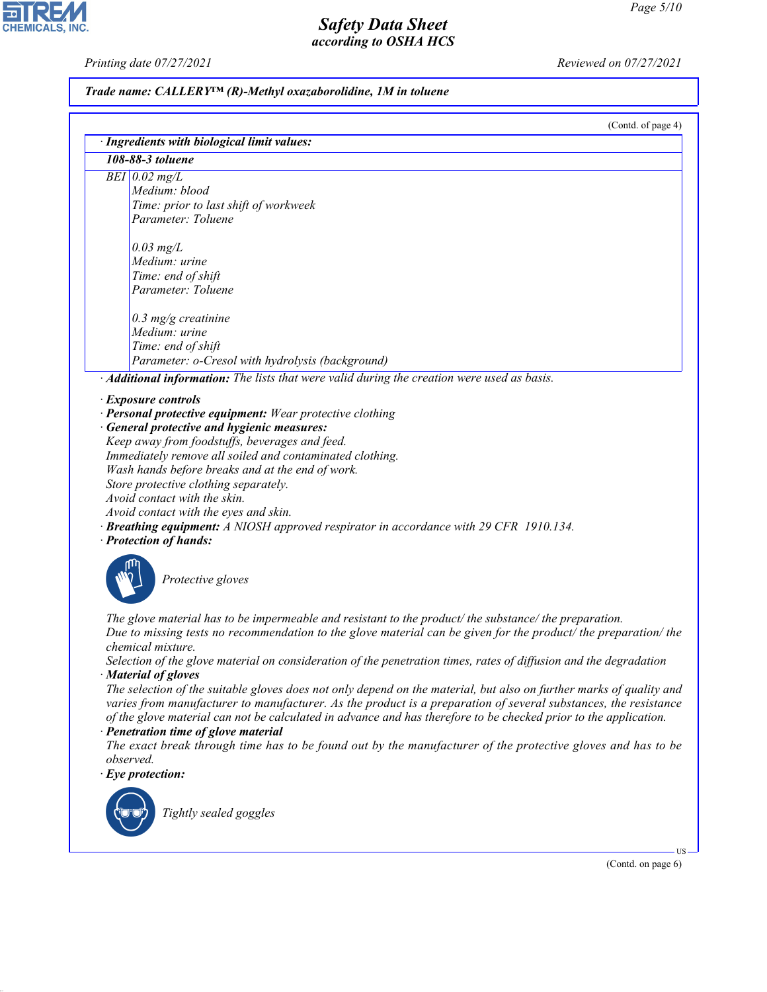*Printing date 07/27/2021 Reviewed on 07/27/2021*

# *Trade name: CALLERY™ (R)-Methyl oxazaborolidine, 1M in toluene*

 $(Cond \text{ of } n$ gge  $4)$ 

| $BEI$ 0.02 mg/L<br>Medium: blood<br>Time: prior to last shift of workweek<br>Parameter: Toluene<br>$0.03$ mg/L<br>Medium: urine<br>Time: end of shift<br>Parameter: Toluene<br>$0.3$ mg/g creatinine<br>Medium: urine<br>Time: end of shift<br>Parameter: o-Cresol with hydrolysis (background)<br>· Additional information: The lists that were valid during the creation were used as basis.<br>· Exposure controls<br>· Personal protective equipment: Wear protective clothing<br>· General protective and hygienic measures:<br>Keep away from foodstuffs, beverages and feed.<br>Immediately remove all soiled and contaminated clothing.<br>Wash hands before breaks and at the end of work.<br>Store protective clothing separately.<br>Avoid contact with the skin.<br>Avoid contact with the eyes and skin.<br><b>Breathing equipment:</b> A NIOSH approved respirator in accordance with 29 CFR 1910.134.<br>· Protection of hands:<br>Protective gloves<br>The glove material has to be impermeable and resistant to the product/the substance/the preparation.<br>Due to missing tests no recommendation to the glove material can be given for the product/ the preparation/ the<br>chemical mixture.<br>Selection of the glove material on consideration of the penetration times, rates of diffusion and the degradation |  |
|------------------------------------------------------------------------------------------------------------------------------------------------------------------------------------------------------------------------------------------------------------------------------------------------------------------------------------------------------------------------------------------------------------------------------------------------------------------------------------------------------------------------------------------------------------------------------------------------------------------------------------------------------------------------------------------------------------------------------------------------------------------------------------------------------------------------------------------------------------------------------------------------------------------------------------------------------------------------------------------------------------------------------------------------------------------------------------------------------------------------------------------------------------------------------------------------------------------------------------------------------------------------------------------------------------------------------------------|--|
|                                                                                                                                                                                                                                                                                                                                                                                                                                                                                                                                                                                                                                                                                                                                                                                                                                                                                                                                                                                                                                                                                                                                                                                                                                                                                                                                          |  |
|                                                                                                                                                                                                                                                                                                                                                                                                                                                                                                                                                                                                                                                                                                                                                                                                                                                                                                                                                                                                                                                                                                                                                                                                                                                                                                                                          |  |
|                                                                                                                                                                                                                                                                                                                                                                                                                                                                                                                                                                                                                                                                                                                                                                                                                                                                                                                                                                                                                                                                                                                                                                                                                                                                                                                                          |  |
|                                                                                                                                                                                                                                                                                                                                                                                                                                                                                                                                                                                                                                                                                                                                                                                                                                                                                                                                                                                                                                                                                                                                                                                                                                                                                                                                          |  |
|                                                                                                                                                                                                                                                                                                                                                                                                                                                                                                                                                                                                                                                                                                                                                                                                                                                                                                                                                                                                                                                                                                                                                                                                                                                                                                                                          |  |
|                                                                                                                                                                                                                                                                                                                                                                                                                                                                                                                                                                                                                                                                                                                                                                                                                                                                                                                                                                                                                                                                                                                                                                                                                                                                                                                                          |  |
|                                                                                                                                                                                                                                                                                                                                                                                                                                                                                                                                                                                                                                                                                                                                                                                                                                                                                                                                                                                                                                                                                                                                                                                                                                                                                                                                          |  |
|                                                                                                                                                                                                                                                                                                                                                                                                                                                                                                                                                                                                                                                                                                                                                                                                                                                                                                                                                                                                                                                                                                                                                                                                                                                                                                                                          |  |
|                                                                                                                                                                                                                                                                                                                                                                                                                                                                                                                                                                                                                                                                                                                                                                                                                                                                                                                                                                                                                                                                                                                                                                                                                                                                                                                                          |  |
|                                                                                                                                                                                                                                                                                                                                                                                                                                                                                                                                                                                                                                                                                                                                                                                                                                                                                                                                                                                                                                                                                                                                                                                                                                                                                                                                          |  |
|                                                                                                                                                                                                                                                                                                                                                                                                                                                                                                                                                                                                                                                                                                                                                                                                                                                                                                                                                                                                                                                                                                                                                                                                                                                                                                                                          |  |
|                                                                                                                                                                                                                                                                                                                                                                                                                                                                                                                                                                                                                                                                                                                                                                                                                                                                                                                                                                                                                                                                                                                                                                                                                                                                                                                                          |  |
|                                                                                                                                                                                                                                                                                                                                                                                                                                                                                                                                                                                                                                                                                                                                                                                                                                                                                                                                                                                                                                                                                                                                                                                                                                                                                                                                          |  |
|                                                                                                                                                                                                                                                                                                                                                                                                                                                                                                                                                                                                                                                                                                                                                                                                                                                                                                                                                                                                                                                                                                                                                                                                                                                                                                                                          |  |
|                                                                                                                                                                                                                                                                                                                                                                                                                                                                                                                                                                                                                                                                                                                                                                                                                                                                                                                                                                                                                                                                                                                                                                                                                                                                                                                                          |  |
|                                                                                                                                                                                                                                                                                                                                                                                                                                                                                                                                                                                                                                                                                                                                                                                                                                                                                                                                                                                                                                                                                                                                                                                                                                                                                                                                          |  |
|                                                                                                                                                                                                                                                                                                                                                                                                                                                                                                                                                                                                                                                                                                                                                                                                                                                                                                                                                                                                                                                                                                                                                                                                                                                                                                                                          |  |
|                                                                                                                                                                                                                                                                                                                                                                                                                                                                                                                                                                                                                                                                                                                                                                                                                                                                                                                                                                                                                                                                                                                                                                                                                                                                                                                                          |  |
|                                                                                                                                                                                                                                                                                                                                                                                                                                                                                                                                                                                                                                                                                                                                                                                                                                                                                                                                                                                                                                                                                                                                                                                                                                                                                                                                          |  |
|                                                                                                                                                                                                                                                                                                                                                                                                                                                                                                                                                                                                                                                                                                                                                                                                                                                                                                                                                                                                                                                                                                                                                                                                                                                                                                                                          |  |
|                                                                                                                                                                                                                                                                                                                                                                                                                                                                                                                                                                                                                                                                                                                                                                                                                                                                                                                                                                                                                                                                                                                                                                                                                                                                                                                                          |  |
|                                                                                                                                                                                                                                                                                                                                                                                                                                                                                                                                                                                                                                                                                                                                                                                                                                                                                                                                                                                                                                                                                                                                                                                                                                                                                                                                          |  |
|                                                                                                                                                                                                                                                                                                                                                                                                                                                                                                                                                                                                                                                                                                                                                                                                                                                                                                                                                                                                                                                                                                                                                                                                                                                                                                                                          |  |
|                                                                                                                                                                                                                                                                                                                                                                                                                                                                                                                                                                                                                                                                                                                                                                                                                                                                                                                                                                                                                                                                                                                                                                                                                                                                                                                                          |  |
|                                                                                                                                                                                                                                                                                                                                                                                                                                                                                                                                                                                                                                                                                                                                                                                                                                                                                                                                                                                                                                                                                                                                                                                                                                                                                                                                          |  |
|                                                                                                                                                                                                                                                                                                                                                                                                                                                                                                                                                                                                                                                                                                                                                                                                                                                                                                                                                                                                                                                                                                                                                                                                                                                                                                                                          |  |
|                                                                                                                                                                                                                                                                                                                                                                                                                                                                                                                                                                                                                                                                                                                                                                                                                                                                                                                                                                                                                                                                                                                                                                                                                                                                                                                                          |  |
|                                                                                                                                                                                                                                                                                                                                                                                                                                                                                                                                                                                                                                                                                                                                                                                                                                                                                                                                                                                                                                                                                                                                                                                                                                                                                                                                          |  |
|                                                                                                                                                                                                                                                                                                                                                                                                                                                                                                                                                                                                                                                                                                                                                                                                                                                                                                                                                                                                                                                                                                                                                                                                                                                                                                                                          |  |
|                                                                                                                                                                                                                                                                                                                                                                                                                                                                                                                                                                                                                                                                                                                                                                                                                                                                                                                                                                                                                                                                                                                                                                                                                                                                                                                                          |  |
|                                                                                                                                                                                                                                                                                                                                                                                                                                                                                                                                                                                                                                                                                                                                                                                                                                                                                                                                                                                                                                                                                                                                                                                                                                                                                                                                          |  |
|                                                                                                                                                                                                                                                                                                                                                                                                                                                                                                                                                                                                                                                                                                                                                                                                                                                                                                                                                                                                                                                                                                                                                                                                                                                                                                                                          |  |
|                                                                                                                                                                                                                                                                                                                                                                                                                                                                                                                                                                                                                                                                                                                                                                                                                                                                                                                                                                                                                                                                                                                                                                                                                                                                                                                                          |  |
|                                                                                                                                                                                                                                                                                                                                                                                                                                                                                                                                                                                                                                                                                                                                                                                                                                                                                                                                                                                                                                                                                                                                                                                                                                                                                                                                          |  |
|                                                                                                                                                                                                                                                                                                                                                                                                                                                                                                                                                                                                                                                                                                                                                                                                                                                                                                                                                                                                                                                                                                                                                                                                                                                                                                                                          |  |
| · Material of gloves                                                                                                                                                                                                                                                                                                                                                                                                                                                                                                                                                                                                                                                                                                                                                                                                                                                                                                                                                                                                                                                                                                                                                                                                                                                                                                                     |  |
| The selection of the suitable gloves does not only depend on the material, but also on further marks of quality and                                                                                                                                                                                                                                                                                                                                                                                                                                                                                                                                                                                                                                                                                                                                                                                                                                                                                                                                                                                                                                                                                                                                                                                                                      |  |
| varies from manufacturer to manufacturer. As the product is a preparation of several substances, the resistance                                                                                                                                                                                                                                                                                                                                                                                                                                                                                                                                                                                                                                                                                                                                                                                                                                                                                                                                                                                                                                                                                                                                                                                                                          |  |
| of the glove material can not be calculated in advance and has therefore to be checked prior to the application.                                                                                                                                                                                                                                                                                                                                                                                                                                                                                                                                                                                                                                                                                                                                                                                                                                                                                                                                                                                                                                                                                                                                                                                                                         |  |
| · Penetration time of glove material                                                                                                                                                                                                                                                                                                                                                                                                                                                                                                                                                                                                                                                                                                                                                                                                                                                                                                                                                                                                                                                                                                                                                                                                                                                                                                     |  |
| The exact break through time has to be found out by the manufacturer of the protective gloves and has to be                                                                                                                                                                                                                                                                                                                                                                                                                                                                                                                                                                                                                                                                                                                                                                                                                                                                                                                                                                                                                                                                                                                                                                                                                              |  |
| observed.                                                                                                                                                                                                                                                                                                                                                                                                                                                                                                                                                                                                                                                                                                                                                                                                                                                                                                                                                                                                                                                                                                                                                                                                                                                                                                                                |  |
| $\cdot$ Eye protection:                                                                                                                                                                                                                                                                                                                                                                                                                                                                                                                                                                                                                                                                                                                                                                                                                                                                                                                                                                                                                                                                                                                                                                                                                                                                                                                  |  |
|                                                                                                                                                                                                                                                                                                                                                                                                                                                                                                                                                                                                                                                                                                                                                                                                                                                                                                                                                                                                                                                                                                                                                                                                                                                                                                                                          |  |
| Tightly sealed goggles                                                                                                                                                                                                                                                                                                                                                                                                                                                                                                                                                                                                                                                                                                                                                                                                                                                                                                                                                                                                                                                                                                                                                                                                                                                                                                                   |  |
|                                                                                                                                                                                                                                                                                                                                                                                                                                                                                                                                                                                                                                                                                                                                                                                                                                                                                                                                                                                                                                                                                                                                                                                                                                                                                                                                          |  |
|                                                                                                                                                                                                                                                                                                                                                                                                                                                                                                                                                                                                                                                                                                                                                                                                                                                                                                                                                                                                                                                                                                                                                                                                                                                                                                                                          |  |
|                                                                                                                                                                                                                                                                                                                                                                                                                                                                                                                                                                                                                                                                                                                                                                                                                                                                                                                                                                                                                                                                                                                                                                                                                                                                                                                                          |  |



44.1.1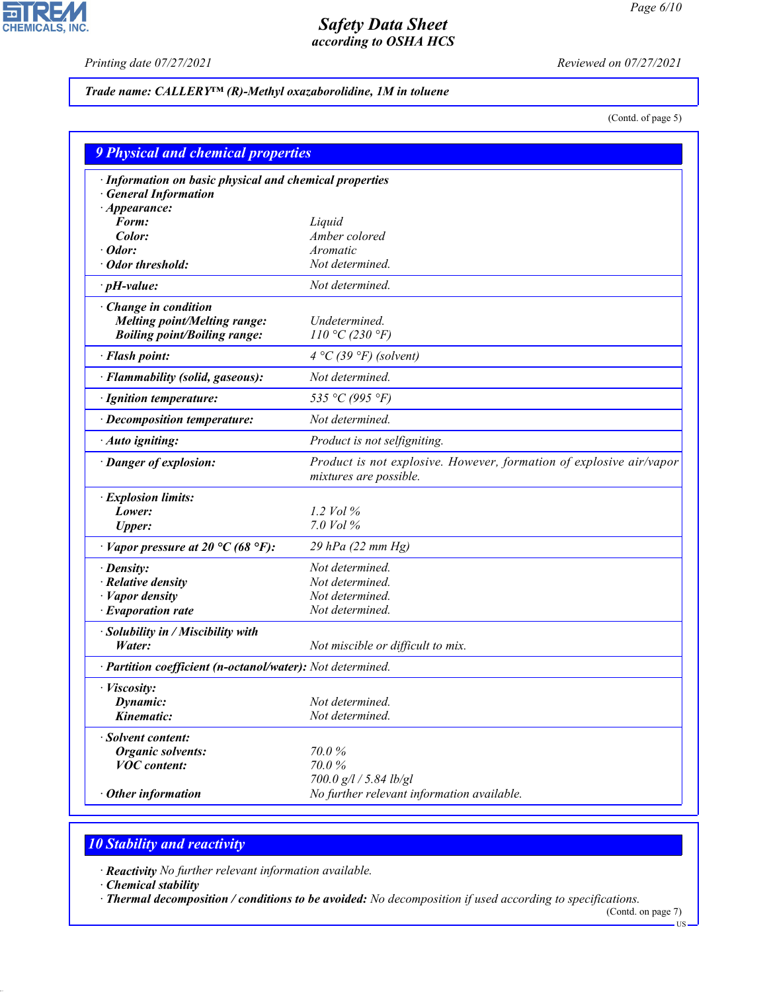고

**CHEMICALS, INC.** 

*Printing date 07/27/2021 Reviewed on 07/27/2021*

## *Trade name: CALLERY™ (R)-Methyl oxazaborolidine, 1M in toluene*

(Contd. of page 5)

| <b>9 Physical and chemical properties</b>                                                                 |                                                                                               |  |  |
|-----------------------------------------------------------------------------------------------------------|-----------------------------------------------------------------------------------------------|--|--|
| · Information on basic physical and chemical properties<br><b>General Information</b>                     |                                                                                               |  |  |
| $\cdot$ Appearance:                                                                                       |                                                                                               |  |  |
| Form:                                                                                                     | Liquid<br>Amber colored                                                                       |  |  |
| Color:<br>Odor:                                                                                           | Aromatic                                                                                      |  |  |
| Odor threshold:                                                                                           | Not determined.                                                                               |  |  |
|                                                                                                           | Not determined.                                                                               |  |  |
| $\cdot$ pH-value:                                                                                         |                                                                                               |  |  |
| $\cdot$ Change in condition<br><b>Melting point/Melting range:</b><br><b>Boiling point/Boiling range:</b> | Undetermined.<br>110 °C (230 °F)                                                              |  |  |
| · Flash point:                                                                                            | $4 °C$ (39 °F) (solvent)                                                                      |  |  |
| · Flammability (solid, gaseous):                                                                          | Not determined.                                                                               |  |  |
| · Ignition temperature:                                                                                   | 535 °C (995 °F)                                                                               |  |  |
| · Decomposition temperature:                                                                              | Not determined.                                                                               |  |  |
| · Auto igniting:                                                                                          | Product is not selfigniting.                                                                  |  |  |
| · Danger of explosion:                                                                                    | Product is not explosive. However, formation of explosive air/vapor<br>mixtures are possible. |  |  |
| · Explosion limits:                                                                                       |                                                                                               |  |  |
| Lower:                                                                                                    | 1.2 Vol $\%$                                                                                  |  |  |
| <b>Upper:</b>                                                                                             | 7.0 Vol $\%$                                                                                  |  |  |
| $\cdot$ Vapor pressure at 20 °C (68 °F):                                                                  | 29 hPa (22 mm Hg)                                                                             |  |  |
| · Density:                                                                                                | Not determined.                                                                               |  |  |
| · Relative density                                                                                        | Not determined.                                                                               |  |  |
| · Vapor density                                                                                           | Not determined.                                                                               |  |  |
| $\cdot$ Evaporation rate                                                                                  | Not determined.                                                                               |  |  |
| · Solubility in / Miscibility with<br>Water:                                                              | Not miscible or difficult to mix.                                                             |  |  |
| · Partition coefficient (n-octanol/water): Not determined.                                                |                                                                                               |  |  |
| · Viscosity:                                                                                              |                                                                                               |  |  |
| Dynamic:                                                                                                  | Not determined.                                                                               |  |  |
| Kinematic:                                                                                                | Not determined.                                                                               |  |  |
| · Solvent content:                                                                                        |                                                                                               |  |  |
| <b>Organic solvents:</b>                                                                                  | 70.0%                                                                                         |  |  |
| <b>VOC</b> content:                                                                                       | 70.0%                                                                                         |  |  |
|                                                                                                           | 700.0 g/l / 5.84 lb/gl                                                                        |  |  |
| Other information                                                                                         | No further relevant information available.                                                    |  |  |

# *10 Stability and reactivity*

*· Reactivity No further relevant information available.*

*· Chemical stability*

44.1.1

*· Thermal decomposition / conditions to be avoided: No decomposition if used according to specifications.*

(Contd. on page 7) US-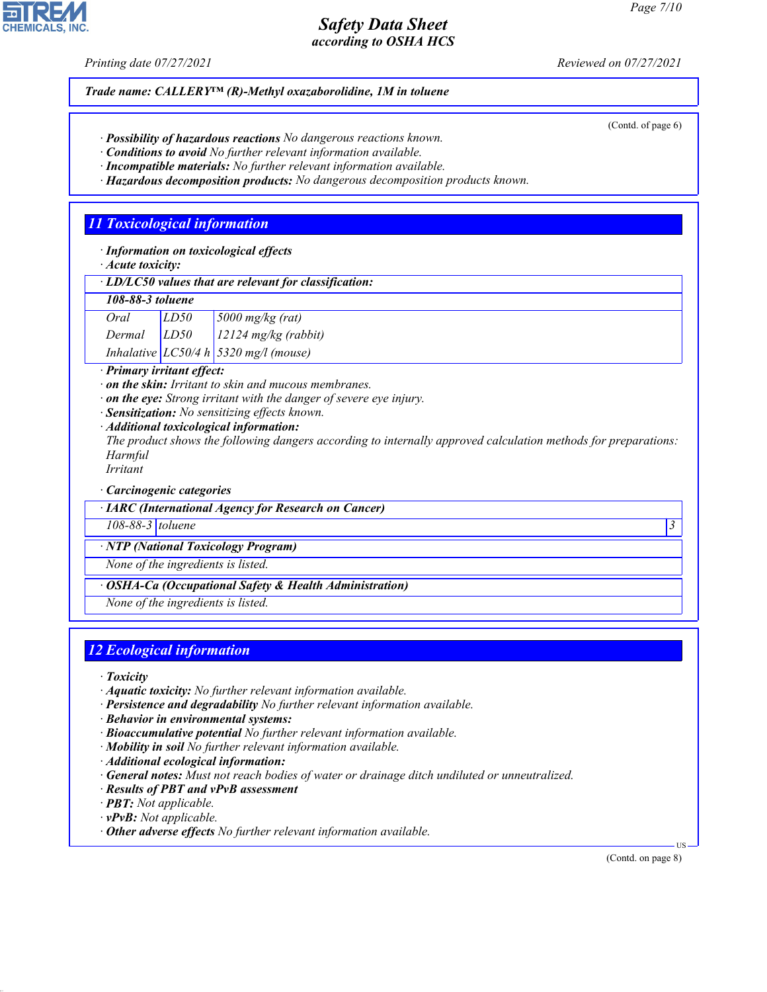(Contd. of page 6)

## *Safety Data Sheet according to OSHA HCS*

*Printing date 07/27/2021 Reviewed on 07/27/2021*

*Trade name: CALLERY™ (R)-Methyl oxazaborolidine, 1M in toluene*

- *· Possibility of hazardous reactions No dangerous reactions known.*
- *· Conditions to avoid No further relevant information available.*
- *· Incompatible materials: No further relevant information available.*
- *· Hazardous decomposition products: No dangerous decomposition products known.*

# *11 Toxicological information*

*· Information on toxicological effects*

*· Acute toxicity:*

| $\cdot$ LD/LC50 values that are relevant for classification: |  |
|--------------------------------------------------------------|--|
|--------------------------------------------------------------|--|

| 108-88-3 toluene |      |                    |
|------------------|------|--------------------|
| Oral             | LD50 | $5000$ mg/kg (rat) |
|                  | rrce | $12224$ $\pi$      |

*Dermal LD50 12124 mg/kg (rabbit) Inhalative LC50/4 h 5320 mg/l (mouse)*

*· Primary irritant effect:*

- *· on the skin: Irritant to skin and mucous membranes.*
- *· on the eye: Strong irritant with the danger of severe eye injury.*
- *· Sensitization: No sensitizing effects known.*
- *· Additional toxicological information:*

*The product shows the following dangers according to internally approved calculation methods for preparations: Harmful*

*Irritant*

*· Carcinogenic categories*

*· IARC (International Agency for Research on Cancer)*

*108-88-3 toluene 3* 

*· NTP (National Toxicology Program)*

*None of the ingredients is listed.*

*· OSHA-Ca (Occupational Safety & Health Administration)*

*None of the ingredients is listed.*

# *12 Ecological information*

*· Toxicity*

44.1.1

- *· Aquatic toxicity: No further relevant information available.*
- *· Persistence and degradability No further relevant information available.*
- *· Behavior in environmental systems:*
- *· Bioaccumulative potential No further relevant information available.*
- *· Mobility in soil No further relevant information available.*
- *· Additional ecological information:*
- *· General notes: Must not reach bodies of water or drainage ditch undiluted or unneutralized.*
- *· Results of PBT and vPvB assessment*
- *· PBT: Not applicable.*
- *· vPvB: Not applicable.*
- *· Other adverse effects No further relevant information available.*

(Contd. on page 8)

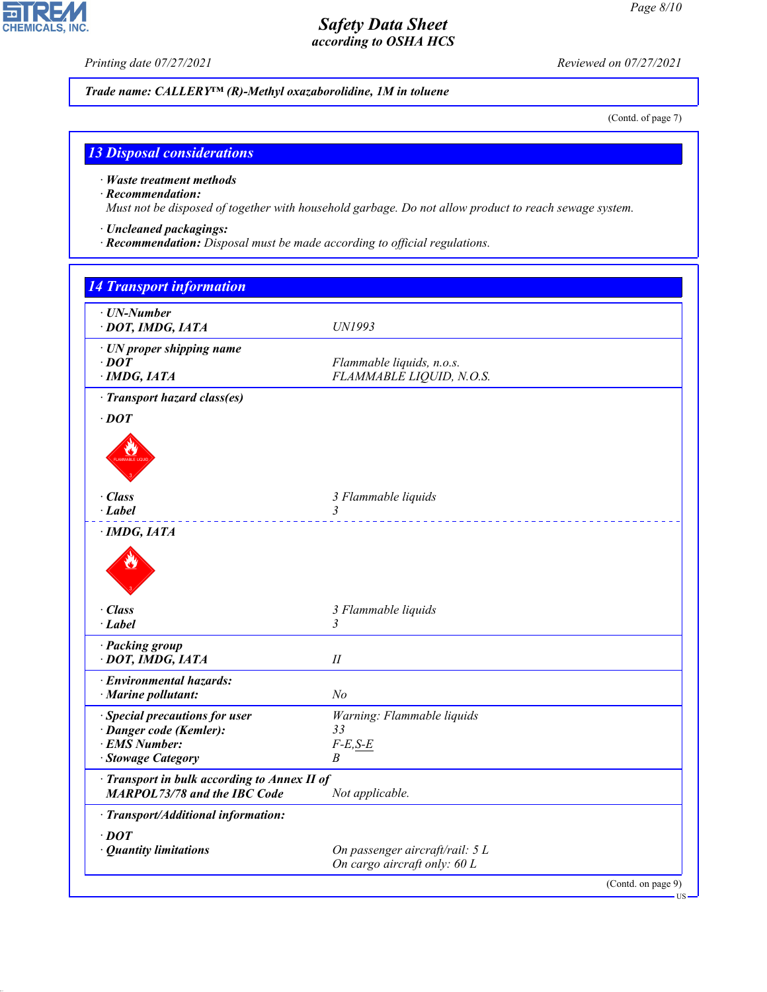$\overline{\mathbf{P}}$ 

**CHEMICALS, INC.** 

*Printing date 07/27/2021 Reviewed on 07/27/2021*

*Trade name: CALLERY™ (R)-Methyl oxazaborolidine, 1M in toluene*

(Contd. of page 7)

### *13 Disposal considerations*

*· Waste treatment methods*

#### *· Recommendation:*

44.1.1

*Must not be disposed of together with household garbage. Do not allow product to reach sewage system.*

- *· Uncleaned packagings:*
- *· Recommendation: Disposal must be made according to official regulations.*

| <b>14 Transport information</b>                                                     |                                                       |  |
|-------------------------------------------------------------------------------------|-------------------------------------------------------|--|
| · UN-Number<br>· DOT, IMDG, IATA                                                    | <b>UN1993</b>                                         |  |
| · UN proper shipping name<br>$\cdot$ DOT<br>$\cdot$ IMDG, IATA                      | Flammable liquids, n.o.s.<br>FLAMMABLE LIQUID, N.O.S. |  |
| · Transport hazard class(es)                                                        |                                                       |  |
| $\cdot$ DOT                                                                         |                                                       |  |
|                                                                                     |                                                       |  |
| · Class                                                                             | 3 Flammable liquids                                   |  |
| · Label                                                                             | 3                                                     |  |
| $\cdot$ IMDG, IATA                                                                  |                                                       |  |
| · Class                                                                             | 3 Flammable liquids                                   |  |
| $\cdot$ Label                                                                       | 3                                                     |  |
| · Packing group<br>· DOT, IMDG, IATA                                                | $I\!I$                                                |  |
| · Environmental hazards:                                                            |                                                       |  |
| · Marine pollutant:                                                                 | N <sub>o</sub>                                        |  |
| · Special precautions for user                                                      | Warning: Flammable liquids                            |  |
| · Danger code (Kemler):                                                             | 33                                                    |  |
| · EMS Number:<br>· Stowage Category                                                 | $F-E,S-E$<br>B                                        |  |
|                                                                                     |                                                       |  |
| · Transport in bulk according to Annex II of<br><b>MARPOL73/78 and the IBC Code</b> | Not applicable.                                       |  |
| · Transport/Additional information:                                                 |                                                       |  |
| $\cdot$ DOT                                                                         |                                                       |  |
| · Quantity limitations                                                              | On passenger aircraft/rail: 5 L                       |  |
|                                                                                     | On cargo aircraft only: 60 L                          |  |
|                                                                                     | (Contd. on page 9)                                    |  |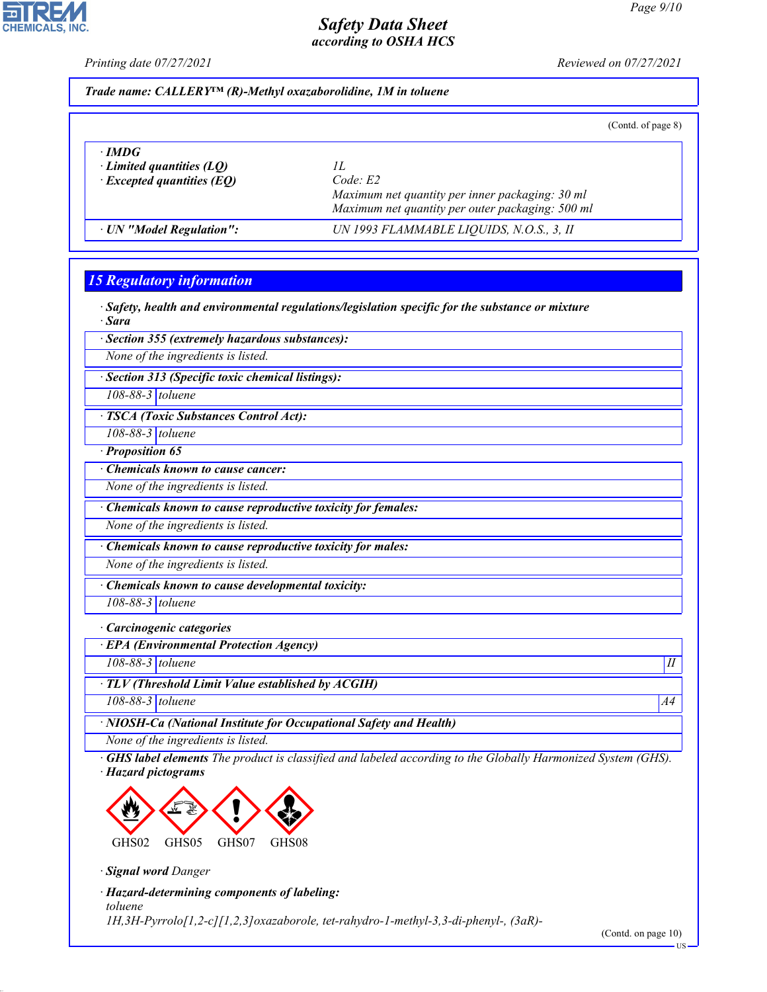

*Printing date 07/27/2021 Reviewed on 07/27/2021*

*Trade name: CALLERY™ (R)-Methyl oxazaborolidine, 1M in toluene*

(Contd. of page 8)

*Page 9/10*

| $\cdot$ IMDG<br>$\cdot$ Limited quantities (LQ)<br>$\cdot$ Excepted quantities (EQ) | Code E2<br>Maximum net quantity per inner packaging: 30 ml<br>Maximum net quantity per outer packaging: 500 ml |  |
|-------------------------------------------------------------------------------------|----------------------------------------------------------------------------------------------------------------|--|
| · UN "Model Regulation":                                                            | UN 1993 FLAMMABLE LIQUIDS, N.O.S., 3, II                                                                       |  |

# *15 Regulatory information*

*· Safety, health and environmental regulations/legislation specific for the substance or mixture · Sara*

*· Section 355 (extremely hazardous substances):*

*None of the ingredients is listed.*

*· Section 313 (Specific toxic chemical listings):*

*108-88-3 toluene*

*· TSCA (Toxic Substances Control Act):*

*108-88-3 toluene*

*· Proposition 65*

*· Chemicals known to cause cancer:*

*None of the ingredients is listed.*

*· Chemicals known to cause reproductive toxicity for females:*

*None of the ingredients is listed.*

*· Chemicals known to cause reproductive toxicity for males:*

*None of the ingredients is listed.*

*· Chemicals known to cause developmental toxicity:*

*108-88-3 toluene*

#### *· Carcinogenic categories*

*· EPA (Environmental Protection Agency)*

*108-88-3 toluene II*

*· TLV (Threshold Limit Value established by ACGIH)*

*108-88-3 toluene A4*

*· NIOSH-Ca (National Institute for Occupational Safety and Health)*

*None of the ingredients is listed.*

*· GHS label elements The product is classified and labeled according to the Globally Harmonized System (GHS). · Hazard pictograms*



*· Signal word Danger*

44.1.1

*· Hazard-determining components of labeling: toluene 1H,3H-Pyrrolo[1,2-c][1,2,3]oxazaborole, tet-rahydro-1-methyl-3,3-di-phenyl-, (3aR)-*

(Contd. on page 10)